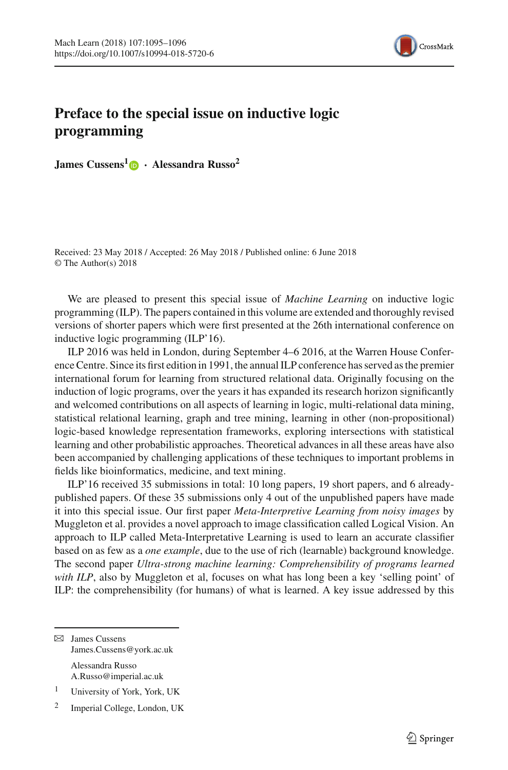

## **Preface to the special issue on inductive logic programming**

**James Cussens[1](http://orcid.org/0000-0002-1363-2336) · Alessandra Russo<sup>2</sup>**

Received: 23 May 2018 / Accepted: 26 May 2018 / Published online: 6 June 2018 © The Author(s) 2018

We are pleased to present this special issue of *Machine Learning* on inductive logic programming (ILP). The papers contained in this volume are extended and thoroughly revised versions of shorter papers which were first presented at the 26th international conference on inductive logic programming (ILP'16).

ILP 2016 was held in London, during September 4–6 2016, at the Warren House Conference Centre. Since its first edition in 1991, the annual ILP conference has served as the premier international forum for learning from structured relational data. Originally focusing on the induction of logic programs, over the years it has expanded its research horizon significantly and welcomed contributions on all aspects of learning in logic, multi-relational data mining, statistical relational learning, graph and tree mining, learning in other (non-propositional) logic-based knowledge representation frameworks, exploring intersections with statistical learning and other probabilistic approaches. Theoretical advances in all these areas have also been accompanied by challenging applications of these techniques to important problems in fields like bioinformatics, medicine, and text mining.

ILP'16 received 35 submissions in total: 10 long papers, 19 short papers, and 6 alreadypublished papers. Of these 35 submissions only 4 out of the unpublished papers have made it into this special issue. Our first paper *Meta-Interpretive Learning from noisy images* by Muggleton et al. provides a novel approach to image classification called Logical Vision. An approach to ILP called Meta-Interpretative Learning is used to learn an accurate classifier based on as few as a *one example*, due to the use of rich (learnable) background knowledge. The second paper *Ultra-strong machine learning: Comprehensibility of programs learned with ILP*, also by Muggleton et al, focuses on what has long been a key 'selling point' of ILP: the comprehensibility (for humans) of what is learned. A key issue addressed by this

 $\boxtimes$  James Cussens James.Cussens@york.ac.uk Alessandra Russo

A.Russo@imperial.ac.uk

<sup>1</sup> University of York, York, UK

<sup>2</sup> Imperial College, London, UK